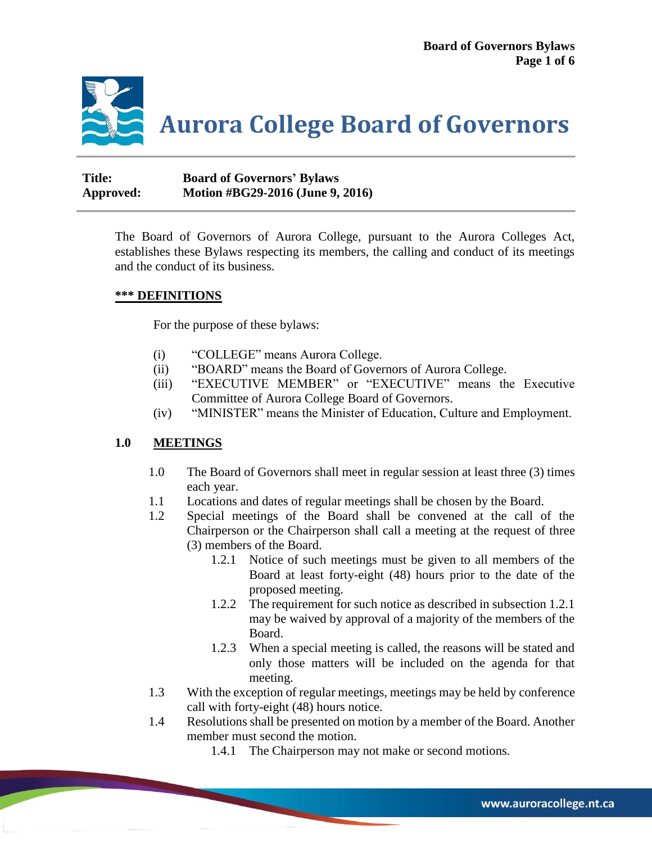

**Title: Board of Governors' Bylaws Approved: Motion #BG29-2016 (June 9, 2016)**

> The Board of Governors of Aurora College, pursuant to the Aurora Colleges Act, establishes these Bylaws respecting its members, the calling and conduct of its meetings and the conduct of its business.

#### **\*\*\* DEFINITIONS**

For the purpose of these bylaws:

- (i) "COLLEGE" means Aurora College.
- (ii) "BOARD" means the Board of Governors of Aurora College.
- (iii) "EXECUTIVE MEMBER" or "EXECUTIVE" means the Executive Committee of Aurora College Board of Governors.
- (iv) "MINISTER" means the Minister of Education, Culture and Employment.

#### **1.0 MEETINGS**

- 1.0 The Board of Governors shall meet in regular session at least three (3) times each year.
- 1.1 Locations and dates of regular meetings shall be chosen by the Board.
- 1.2 Special meetings of the Board shall be convened at the call of the Chairperson or the Chairperson shall call a meeting at the request of three (3) members of the Board.
	- 1.2.1 Notice of such meetings must be given to all members of the Board at least forty-eight (48) hours prior to the date of the proposed meeting.
	- 1.2.2 The requirement for such notice as described in subsection 1.2.1 may be waived by approval of a majority of the members of the Board.
	- 1.2.3 When a special meeting is called, the reasons will be stated and only those matters will be included on the agenda for that meeting.
- 1.3 With the exception of regular meetings, meetings may be held by conference call with forty-eight (48) hours notice.
- 1.4 Resolutions shall be presented on motion by a member of the Board. Another member must second the motion.
	- 1.4.1 The Chairperson may not make or second motions.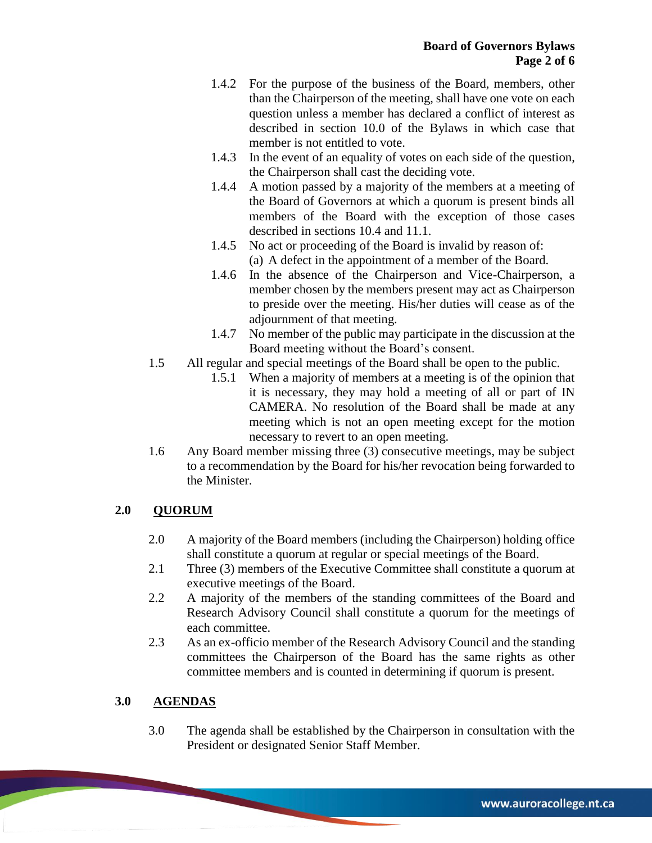- 1.4.2 For the purpose of the business of the Board, members, other than the Chairperson of the meeting, shall have one vote on each question unless a member has declared a conflict of interest as described in section 10.0 of the Bylaws in which case that member is not entitled to vote.
- 1.4.3 In the event of an equality of votes on each side of the question, the Chairperson shall cast the deciding vote.
- 1.4.4 A motion passed by a majority of the members at a meeting of the Board of Governors at which a quorum is present binds all members of the Board with the exception of those cases described in sections 10.4 and 11.1.
- 1.4.5 No act or proceeding of the Board is invalid by reason of: (a) A defect in the appointment of a member of the Board.
- 1.4.6 In the absence of the Chairperson and Vice-Chairperson, a member chosen by the members present may act as Chairperson to preside over the meeting. His/her duties will cease as of the adjournment of that meeting.
- 1.4.7 No member of the public may participate in the discussion at the Board meeting without the Board's consent.
- 1.5 All regular and special meetings of the Board shall be open to the public.
	- 1.5.1 When a majority of members at a meeting is of the opinion that it is necessary, they may hold a meeting of all or part of IN CAMERA. No resolution of the Board shall be made at any meeting which is not an open meeting except for the motion necessary to revert to an open meeting.
- 1.6 Any Board member missing three (3) consecutive meetings, may be subject to a recommendation by the Board for his/her revocation being forwarded to the Minister.

# **2.0 QUORUM**

- 2.0 A majority of the Board members (including the Chairperson) holding office shall constitute a quorum at regular or special meetings of the Board.
- 2.1 Three (3) members of the Executive Committee shall constitute a quorum at executive meetings of the Board.
- 2.2 A majority of the members of the standing committees of the Board and Research Advisory Council shall constitute a quorum for the meetings of each committee.
- 2.3 As an ex-officio member of the Research Advisory Council and the standing committees the Chairperson of the Board has the same rights as other committee members and is counted in determining if quorum is present.

## **3.0 AGENDAS**

3.0 The agenda shall be established by the Chairperson in consultation with the President or designated Senior Staff Member.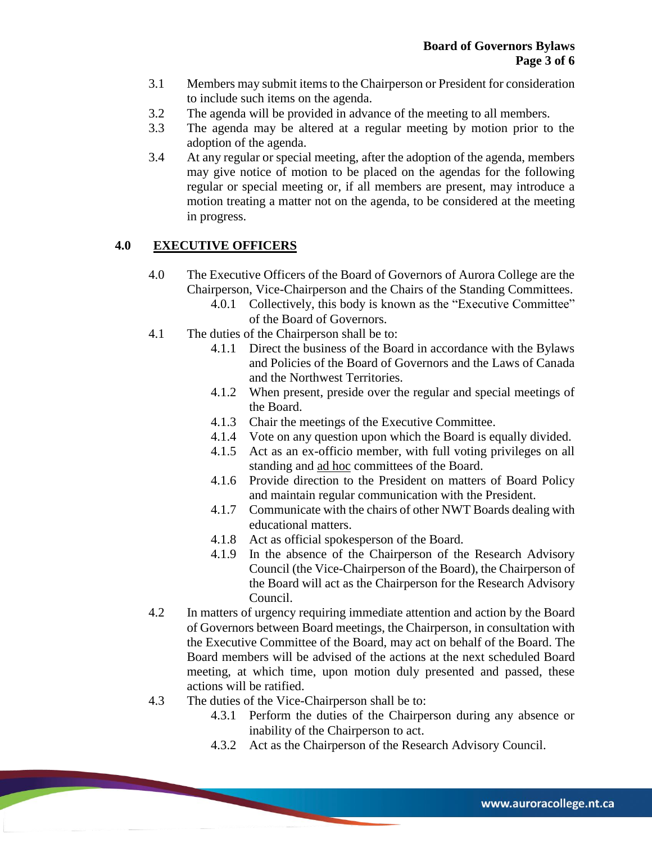- 3.1 Members may submit items to the Chairperson or President for consideration to include such items on the agenda.
- 3.2 The agenda will be provided in advance of the meeting to all members.
- 3.3 The agenda may be altered at a regular meeting by motion prior to the adoption of the agenda.
- 3.4 At any regular or special meeting, after the adoption of the agenda, members may give notice of motion to be placed on the agendas for the following regular or special meeting or, if all members are present, may introduce a motion treating a matter not on the agenda, to be considered at the meeting in progress.

## **4.0 EXECUTIVE OFFICERS**

- 4.0 The Executive Officers of the Board of Governors of Aurora College are the Chairperson, Vice-Chairperson and the Chairs of the Standing Committees.
	- 4.0.1 Collectively, this body is known as the "Executive Committee" of the Board of Governors.
- 4.1 The duties of the Chairperson shall be to:
	- 4.1.1 Direct the business of the Board in accordance with the Bylaws and Policies of the Board of Governors and the Laws of Canada and the Northwest Territories.
	- 4.1.2 When present, preside over the regular and special meetings of the Board.
	- 4.1.3 Chair the meetings of the Executive Committee.
	- 4.1.4 Vote on any question upon which the Board is equally divided.
	- 4.1.5 Act as an ex-officio member, with full voting privileges on all standing and ad hoc committees of the Board.
	- 4.1.6 Provide direction to the President on matters of Board Policy and maintain regular communication with the President.
	- 4.1.7 Communicate with the chairs of other NWT Boards dealing with educational matters.
	- 4.1.8 Act as official spokesperson of the Board.
	- 4.1.9 In the absence of the Chairperson of the Research Advisory Council (the Vice-Chairperson of the Board), the Chairperson of the Board will act as the Chairperson for the Research Advisory Council.
- 4.2 In matters of urgency requiring immediate attention and action by the Board of Governors between Board meetings, the Chairperson, in consultation with the Executive Committee of the Board, may act on behalf of the Board. The Board members will be advised of the actions at the next scheduled Board meeting, at which time, upon motion duly presented and passed, these actions will be ratified.
- 4.3 The duties of the Vice-Chairperson shall be to:
	- 4.3.1 Perform the duties of the Chairperson during any absence or inability of the Chairperson to act.
	- 4.3.2 Act as the Chairperson of the Research Advisory Council.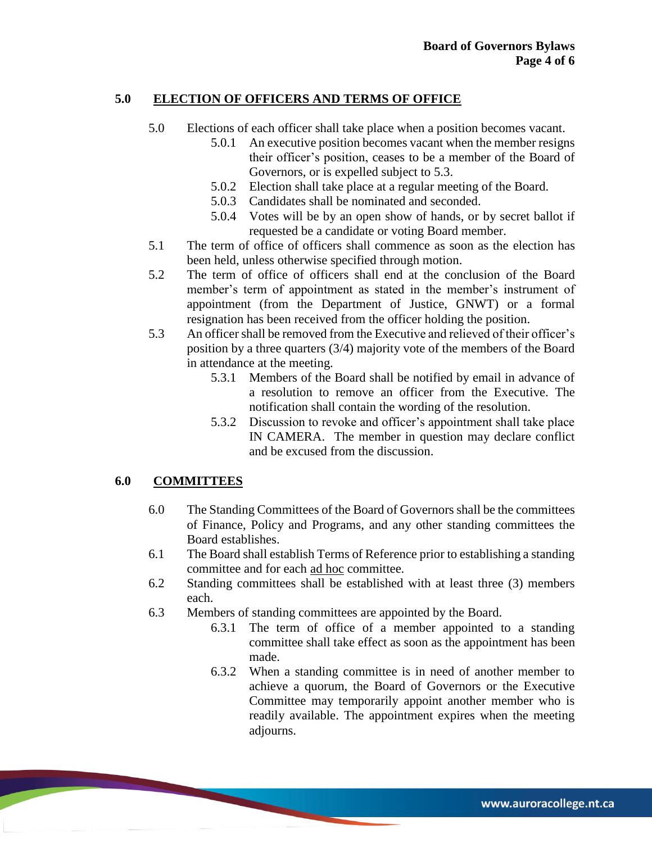## **5.0 ELECTION OF OFFICERS AND TERMS OF OFFICE**

- 5.0 Elections of each officer shall take place when a position becomes vacant.
	- 5.0.1 An executive position becomes vacant when the member resigns their officer's position, ceases to be a member of the Board of Governors, or is expelled subject to 5.3.
	- 5.0.2 Election shall take place at a regular meeting of the Board.
	- 5.0.3 Candidates shall be nominated and seconded.
	- 5.0.4 Votes will be by an open show of hands, or by secret ballot if requested be a candidate or voting Board member.
- 5.1 The term of office of officers shall commence as soon as the election has been held, unless otherwise specified through motion.
- 5.2 The term of office of officers shall end at the conclusion of the Board member's term of appointment as stated in the member's instrument of appointment (from the Department of Justice, GNWT) or a formal resignation has been received from the officer holding the position.
- 5.3 An officer shall be removed from the Executive and relieved of their officer's position by a three quarters (3/4) majority vote of the members of the Board in attendance at the meeting.
	- 5.3.1 Members of the Board shall be notified by email in advance of a resolution to remove an officer from the Executive. The notification shall contain the wording of the resolution.
	- 5.3.2 Discussion to revoke and officer's appointment shall take place IN CAMERA. The member in question may declare conflict and be excused from the discussion.

## **6.0 COMMITTEES**

- 6.0 The Standing Committees of the Board of Governors shall be the committees of Finance, Policy and Programs, and any other standing committees the Board establishes.
- 6.1 The Board shall establish Terms of Reference prior to establishing a standing committee and for each ad hoc committee.
- 6.2 Standing committees shall be established with at least three (3) members each.
- 6.3 Members of standing committees are appointed by the Board.
	- 6.3.1 The term of office of a member appointed to a standing committee shall take effect as soon as the appointment has been made.
	- 6.3.2 When a standing committee is in need of another member to achieve a quorum, the Board of Governors or the Executive Committee may temporarily appoint another member who is readily available. The appointment expires when the meeting adjourns.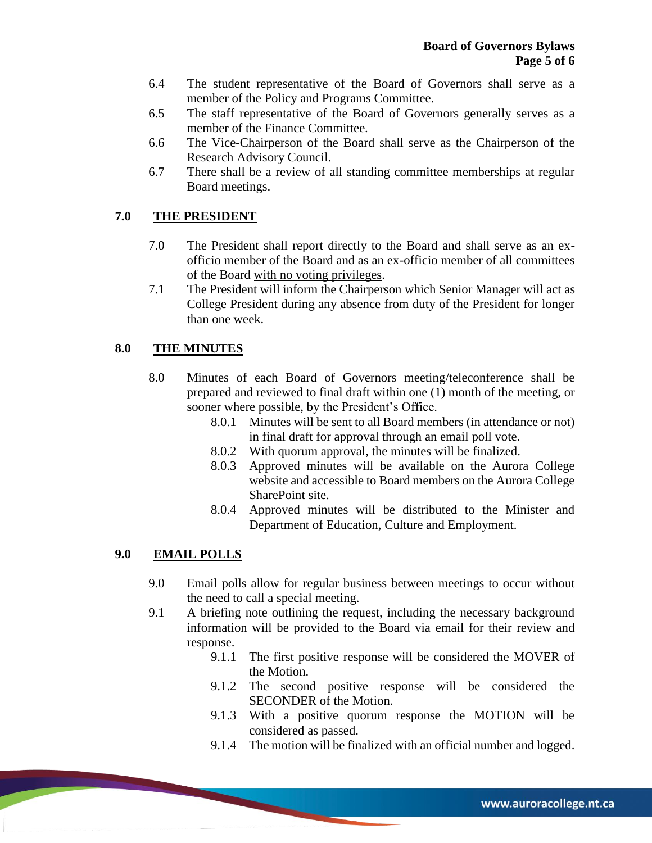- 6.4 The student representative of the Board of Governors shall serve as a member of the Policy and Programs Committee.
- 6.5 The staff representative of the Board of Governors generally serves as a member of the Finance Committee.
- 6.6 The Vice-Chairperson of the Board shall serve as the Chairperson of the Research Advisory Council.
- 6.7 There shall be a review of all standing committee memberships at regular Board meetings.

### **7.0 THE PRESIDENT**

- 7.0 The President shall report directly to the Board and shall serve as an exofficio member of the Board and as an ex-officio member of all committees of the Board with no voting privileges.
- 7.1 The President will inform the Chairperson which Senior Manager will act as College President during any absence from duty of the President for longer than one week.

#### **8.0 THE MINUTES**

- 8.0 Minutes of each Board of Governors meeting/teleconference shall be prepared and reviewed to final draft within one (1) month of the meeting, or sooner where possible, by the President's Office.
	- 8.0.1 Minutes will be sent to all Board members (in attendance or not) in final draft for approval through an email poll vote.
	- 8.0.2 With quorum approval, the minutes will be finalized.
	- 8.0.3 Approved minutes will be available on the Aurora College website and accessible to Board members on the Aurora College SharePoint site.
	- 8.0.4 Approved minutes will be distributed to the Minister and Department of Education, Culture and Employment.

#### **9.0 EMAIL POLLS**

- 9.0 Email polls allow for regular business between meetings to occur without the need to call a special meeting.
- 9.1 A briefing note outlining the request, including the necessary background information will be provided to the Board via email for their review and response.
	- 9.1.1 The first positive response will be considered the MOVER of the Motion.
	- 9.1.2 The second positive response will be considered the SECONDER of the Motion.
	- 9.1.3 With a positive quorum response the MOTION will be considered as passed.
	- 9.1.4 The motion will be finalized with an official number and logged.